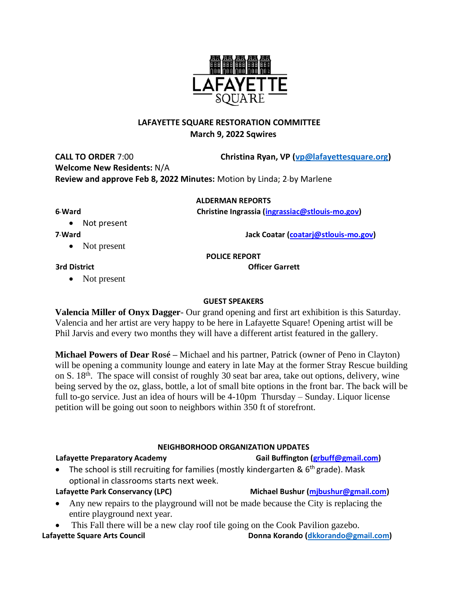# **LAFAYETTE SQUARE RESTORATION COMMITTEE March 9, 2022 Sqwires**

**CALL TO ORDER** 7:00 **Christina Ryan, VP (vp@lafayettesquare.org) Welcome New Residents:** N/A **Review and approve Feb 8, 2022 Minutes:** Motion by Linda; 2-by Marlene

## **ALDERMAN REPORTS**

**6th Ward Christine Ingrassia (ingrassiac@stlouis-mo.gov)** 

• Not present

**7th Ward Jack Coatar (coatarj@stlouis-mo.gov)**

• Not present

**POLICE REPORT**

**3rd District Community Community Community Community Community Community Community Community Community Community** 

• Not present

## **GUEST SPEAKERS**

**Valencia Miller of Onyx Dagger**- Our grand opening and first art exhibition is this Saturday. Valencia and her artist are very happy to be here in Lafayette Square! Opening artist will be Phil Jarvis and every two months they will have a different artist featured in the gallery.

**Michael Powers of Dear Rosé –** Michael and his partner, Patrick (owner of Peno in Clayton) will be opening a community lounge and eatery in late May at the former Stray Rescue building on S. 18th. The space will consist of roughly 30 seat bar area, take out options, delivery, wine being served by the oz, glass, bottle, a lot of small bite options in the front bar. The back will be full to-go service. Just an idea of hours will be 4-10pm Thursday – Sunday. Liquor license petition will be going out soon to neighbors within 350 ft of storefront.

## **NEIGHBORHOOD ORGANIZATION UPDATES**

- The school is still recruiting for families (mostly kindergarten & 6<sup>th</sup> grade). Mask optional in classrooms starts next week.
- **Lafayette Park Conservancy (LPC) Michael Bushur (mjbushur@gmail.com)**
- Any new repairs to the playground will not be made because the City is replacing the entire playground next year.
- This Fall there will be a new clay roof tile going on the Cook Pavilion gazebo.

**Lafayette Square Arts Council Donna Korando [\(dkkorando@gmail.com\)](mailto:dkkorando@gmail.com)**



Lafayette Preparatory Academy **Gail Buffington** (grbuff@gmail.com)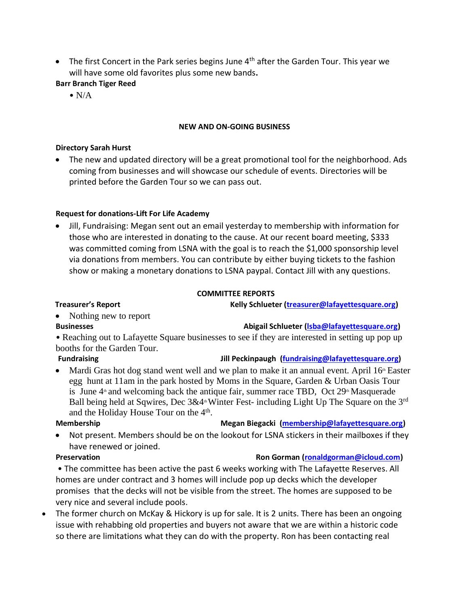- The first Concert in the Park series begins June  $4<sup>th</sup>$  after the Garden Tour. This year we will have some old favorites plus some new bands**.**
- **Barr Branch Tiger Reed**
	- $\bullet$  N/A

## **NEW AND ON-GOING BUSINESS**

## **Directory Sarah Hurst**

• The new and updated directory will be a great promotional tool for the neighborhood. Ads coming from businesses and will showcase our schedule of events. Directories will be printed before the Garden Tour so we can pass out.

## **Request for donations-Lift For Life Academy**

• Jill, Fundraising: Megan sent out an email yesterday to membership with information for those who are interested in donating to the cause. At our recent board meeting, \$333 was committed coming from LSNA with the goal is to reach the \$1,000 sponsorship level via donations from members. You can contribute by either buying tickets to the fashion show or making a monetary donations to LSNA paypal. Contact Jill with any questions.

## **COMMITTEE REPORTS**

**Treasurer's Report Kelly Schlueter (treasurer@lafayettesquare.org)** 

- Nothing new to report
- 

**Businesses Abigail Schlueter (Isba@lafayettesquare.org)** 

• Reaching out to Lafayette Square businesses to see if they are interested in setting up pop up booths for the Garden Tour.

**Fundraising The Constraint Constraint Constraint Constraint Constraint Constraint Constraint Constraint Constraint Constraint Person in the Constraint Constraint Person in the Constraint Constraint Constraint Person in th** 

Mardi Gras hot dog stand went well and we plan to make it an annual event. April  $16<sup>th</sup>$  Easter egg hunt at 11am in the park hosted by Moms in the Square, Garden & Urban Oasis Tour is June  $4^{\text{th}}$  and welcoming back the antique fair, summer race TBD, Oct  $29^{\text{th}}$  Masquerade Ball being held at Sqwires, Dec  $3&4^{\text{th}}$  Winter Fest- including Light Up The Square on the 3<sup>rd</sup> and the Holiday House Tour on the 4<sup>th</sup>.

## **Membership Megan Biegacki (membership@lafayettesquare.org)**

Not present. Members should be on the lookout for LSNA stickers in their mailboxes if they have renewed or joined.

# **Preservation Preservation Ron Gorman (<b>ronaldgorman@icloud.com**)

• The committee has been active the past 6 weeks working with The Lafayette Reserves. All homes are under contract and 3 homes will include pop up decks which the developer promises that the decks will not be visible from the street. The homes are supposed to be very nice and several include pools.

• The former church on McKay & Hickory is up for sale. It is 2 units. There has been an ongoing issue with rehabbing old properties and buyers not aware that we are within a historic code so there are limitations what they can do with the property. Ron has been contacting real